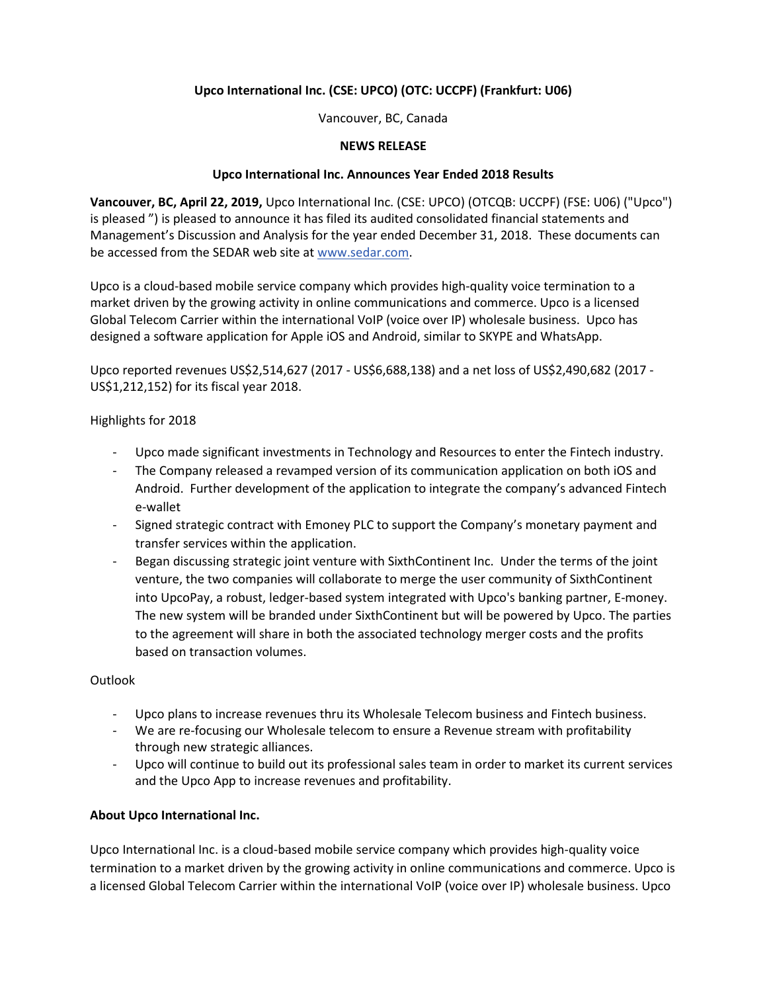# **Upco International Inc. (CSE: UPCO) (OTC: UCCPF) (Frankfurt: U06)**

Vancouver, BC, Canada

### **NEWS RELEASE**

#### **Upco International Inc. Announces Year Ended 2018 Results**

**Vancouver, BC, April 22, 2019,** Upco International Inc. (CSE: UPCO) (OTCQB: UCCPF) (FSE: U06) ("Upco") is pleased ") is pleased to announce it has filed its audited consolidated financial statements and Management's Discussion and Analysis for the year ended December 31, 2018. These documents can be accessed from the SEDAR web site a[t www.sedar.com.](http://www.sedar.com/)

Upco is a cloud-based mobile service company which provides high-quality voice termination to a market driven by the growing activity in online communications and commerce. Upco is a licensed Global Telecom Carrier within the international VoIP (voice over IP) wholesale business. Upco has designed a software application for Apple iOS and Android, similar to SKYPE and WhatsApp.

Upco reported revenues US\$2,514,627 (2017 - US\$6,688,138) and a net loss of US\$2,490,682 (2017 - US\$1,212,152) for its fiscal year 2018.

#### Highlights for 2018

- Upco made significant investments in Technology and Resources to enter the Fintech industry.
- The Company released a revamped version of its communication application on both iOS and Android. Further development of the application to integrate the company's advanced Fintech e-wallet
- Signed strategic contract with Emoney PLC to support the Company's monetary payment and transfer services within the application.
- Began discussing strategic joint venture with SixthContinent Inc. Under the terms of the joint venture, the two companies will collaborate to merge the user community of SixthContinent into UpcoPay, a robust, ledger-based system integrated with Upco's banking partner, E-money. The new system will be branded under SixthContinent but will be powered by Upco. The parties to the agreement will share in both the associated technology merger costs and the profits based on transaction volumes.

## Outlook

- Upco plans to increase revenues thru its Wholesale Telecom business and Fintech business.
- We are re-focusing our Wholesale telecom to ensure a Revenue stream with profitability through new strategic alliances.
- Upco will continue to build out its professional sales team in order to market its current services and the Upco App to increase revenues and profitability.

## **About Upco International Inc.**

Upco International Inc. is a cloud-based mobile service company which provides high-quality voice termination to a market driven by the growing activity in online communications and commerce. Upco is a licensed Global Telecom Carrier within the international VoIP (voice over IP) wholesale business. Upco